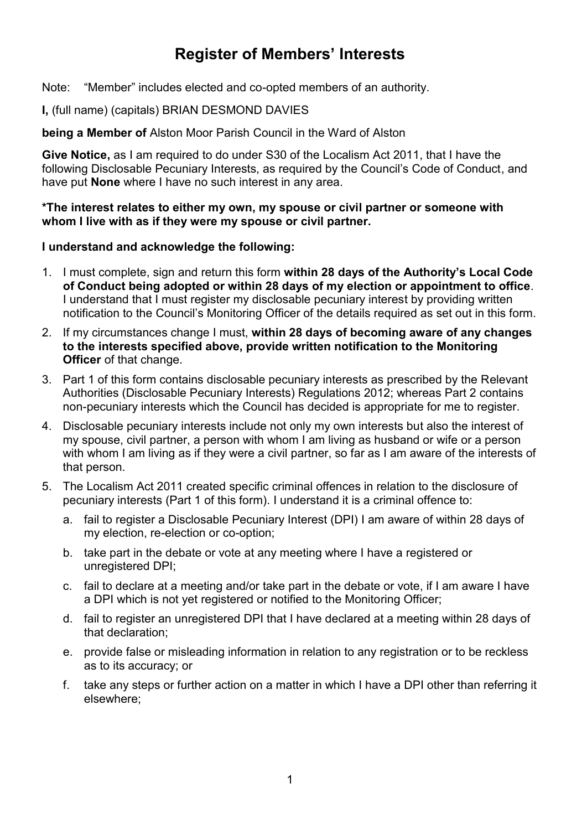# **Register of Members' Interests**

Note: "Member" includes elected and co-opted members of an authority.

#### **I,** (full name) (capitals) BRIAN DESMOND DAVIES

**being a Member of** Alston Moor Parish Council in the Ward of Alston

**Give Notice,** as I am required to do under S30 of the Localism Act 2011, that I have the following Disclosable Pecuniary Interests, as required by the Council's Code of Conduct, and have put **None** where I have no such interest in any area.

**\*The interest relates to either my own, my spouse or civil partner or someone with whom I live with as if they were my spouse or civil partner.**

#### **I understand and acknowledge the following:**

- 1. I must complete, sign and return this form **within 28 days of the Authority's Local Code of Conduct being adopted or within 28 days of my election or appointment to office**. I understand that I must register my disclosable pecuniary interest by providing written notification to the Council's Monitoring Officer of the details required as set out in this form.
- 2. If my circumstances change I must, **within 28 days of becoming aware of any changes to the interests specified above, provide written notification to the Monitoring Officer** of that change.
- 3. Part 1 of this form contains disclosable pecuniary interests as prescribed by the Relevant Authorities (Disclosable Pecuniary Interests) Regulations 2012; whereas Part 2 contains non-pecuniary interests which the Council has decided is appropriate for me to register.
- 4. Disclosable pecuniary interests include not only my own interests but also the interest of my spouse, civil partner, a person with whom I am living as husband or wife or a person with whom I am living as if they were a civil partner, so far as I am aware of the interests of that person.
- 5. The Localism Act 2011 created specific criminal offences in relation to the disclosure of pecuniary interests (Part 1 of this form). I understand it is a criminal offence to:
	- a. fail to register a Disclosable Pecuniary Interest (DPI) I am aware of within 28 days of my election, re-election or co-option;
	- b. take part in the debate or vote at any meeting where I have a registered or unregistered DPI;
	- c. fail to declare at a meeting and/or take part in the debate or vote, if I am aware I have a DPI which is not yet registered or notified to the Monitoring Officer;
	- d. fail to register an unregistered DPI that I have declared at a meeting within 28 days of that declaration;
	- e. provide false or misleading information in relation to any registration or to be reckless as to its accuracy; or
	- f. take any steps or further action on a matter in which I have a DPI other than referring it elsewhere;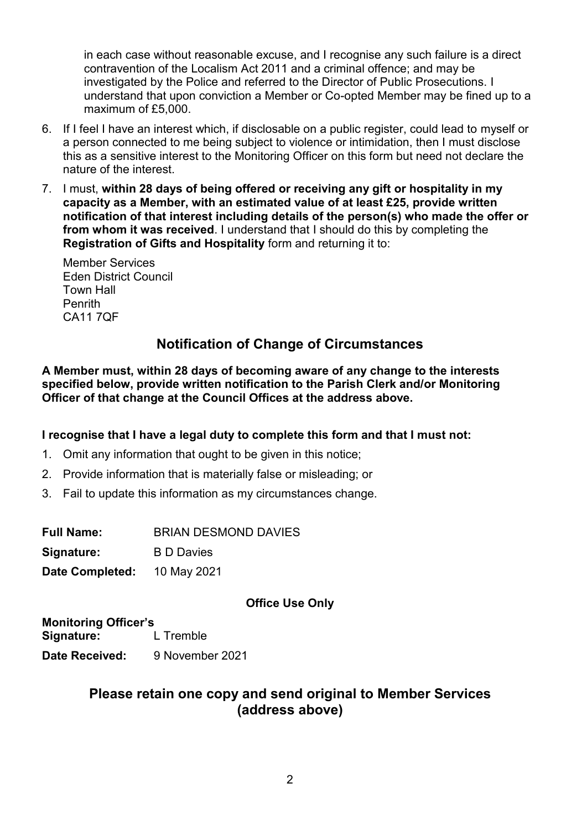in each case without reasonable excuse, and I recognise any such failure is a direct contravention of the Localism Act 2011 and a criminal offence; and may be investigated by the Police and referred to the Director of Public Prosecutions. I understand that upon conviction a Member or Co-opted Member may be fined up to a maximum of £5,000.

- 6. If I feel I have an interest which, if disclosable on a public register, could lead to myself or a person connected to me being subject to violence or intimidation, then I must disclose this as a sensitive interest to the Monitoring Officer on this form but need not declare the nature of the interest.
- 7. I must, **within 28 days of being offered or receiving any gift or hospitality in my capacity as a Member, with an estimated value of at least £25, provide written notification of that interest including details of the person(s) who made the offer or from whom it was received**. I understand that I should do this by completing the **Registration of Gifts and Hospitality** form and returning it to:

Member Services Eden District Council Town Hall Penrith CA11 7QF

# **Notification of Change of Circumstances**

**A Member must, within 28 days of becoming aware of any change to the interests specified below, provide written notification to the Parish Clerk and/or Monitoring Officer of that change at the Council Offices at the address above.**

### **I recognise that I have a legal duty to complete this form and that I must not:**

- 1. Omit any information that ought to be given in this notice;
- 2. Provide information that is materially false or misleading; or
- 3. Fail to update this information as my circumstances change.

| <b>Full Name:</b> | <b>BRIAN DESMOND DAVIES</b> |
|-------------------|-----------------------------|
| Signature:        | <b>B</b> D Davies           |
| Date Completed:   | 10 May 2021                 |

### **Office Use Only**

**Monitoring Officer's Signature:** L Tremble **Date Received:** 9 November 2021

# **Please retain one copy and send original to Member Services (address above)**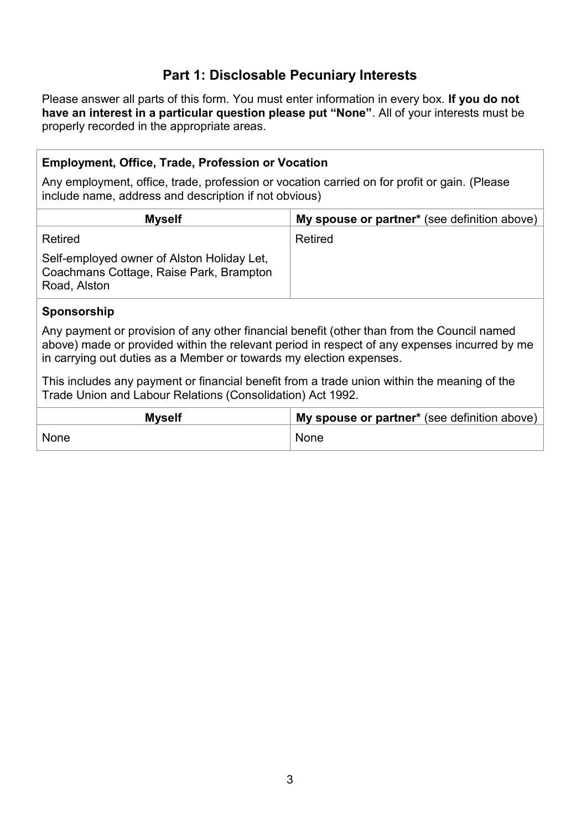# **Part 1: Disclosable Pecuniary Interests**

Please answer all parts of this form. You must enter information in every box. **If you do not have an interest in a particular question please put "None"**. All of your interests must be properly recorded in the appropriate areas.

### **Employment, Office, Trade, Profession or Vocation**

Any employment, office, trade, profession or vocation carried on for profit or gain. (Please include name, address and description if not obvious)

| <b>Myself</b>                                                                                         | My spouse or partner* (see definition above) |
|-------------------------------------------------------------------------------------------------------|----------------------------------------------|
| Retired                                                                                               | Retired                                      |
| Self-employed owner of Alston Holiday Let,<br>Coachmans Cottage, Raise Park, Brampton<br>Road, Alston |                                              |

#### **Sponsorship**

Any payment or provision of any other financial benefit (other than from the Council named above) made or provided within the relevant period in respect of any expenses incurred by me in carrying out duties as a Member or towards my election expenses.

This includes any payment or financial benefit from a trade union within the meaning of the Trade Union and Labour Relations (Consolidation) Act 1992.

| <b>Myself</b> | My spouse or partner* (see definition above) |  |
|---------------|----------------------------------------------|--|
| None          | <b>None</b>                                  |  |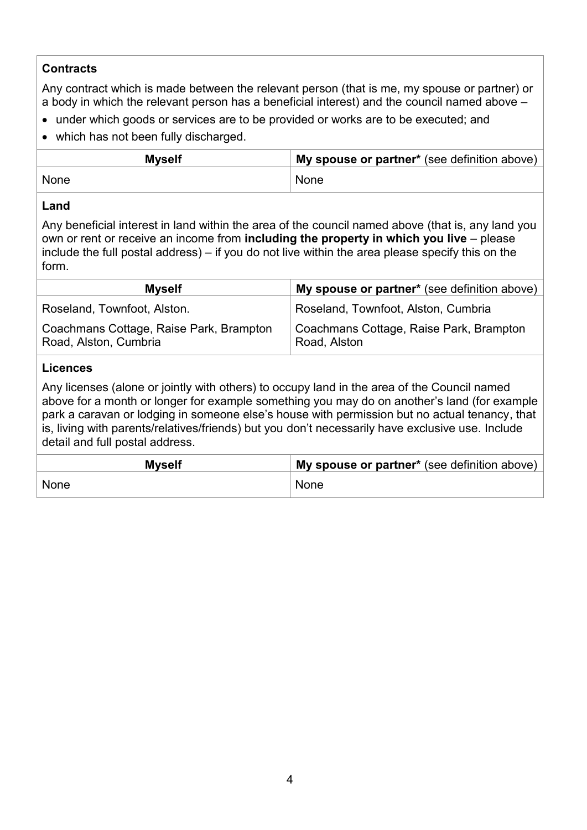### **Contracts**

Any contract which is made between the relevant person (that is me, my spouse or partner) or a body in which the relevant person has a beneficial interest) and the council named above –

- under which goods or services are to be provided or works are to be executed; and
- which has not been fully discharged.

| <b>Myself</b> | My spouse or partner* (see definition above) |
|---------------|----------------------------------------------|
| None          | <b>None</b>                                  |

#### **Land**

Any beneficial interest in land within the area of the council named above (that is, any land you own or rent or receive an income from **including the property in which you live** – please include the full postal address) – if you do not live within the area please specify this on the form.

| <b>Myself</b>                                                    | My spouse or partner* (see definition above)            |
|------------------------------------------------------------------|---------------------------------------------------------|
| Roseland, Townfoot, Alston.                                      | Roseland, Townfoot, Alston, Cumbria                     |
| Coachmans Cottage, Raise Park, Brampton<br>Road, Alston, Cumbria | Coachmans Cottage, Raise Park, Brampton<br>Road, Alston |

#### **Licences**

Any licenses (alone or jointly with others) to occupy land in the area of the Council named above for a month or longer for example something you may do on another's land (for example park a caravan or lodging in someone else's house with permission but no actual tenancy, that is, living with parents/relatives/friends) but you don't necessarily have exclusive use. Include detail and full postal address.

| <b>Myself</b> | I My spouse or partner* (see definition above) |
|---------------|------------------------------------------------|
| None          | <b>None</b>                                    |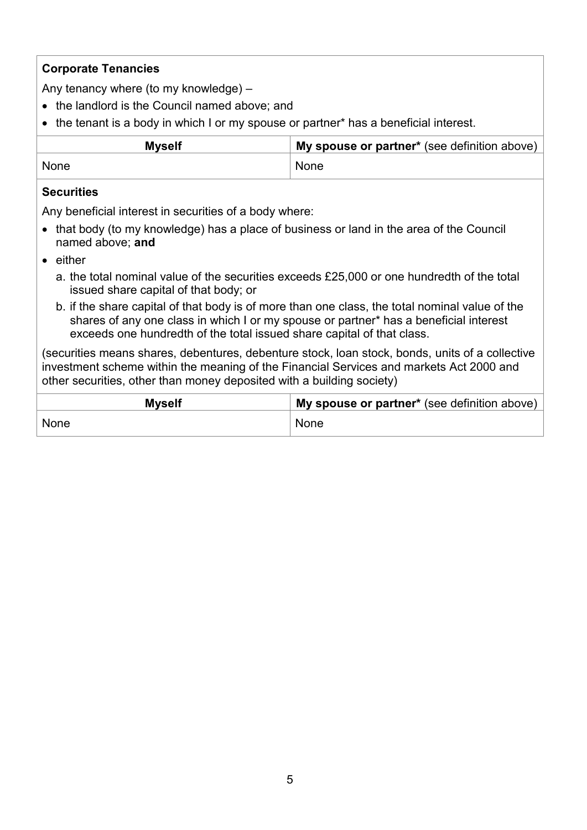### **Corporate Tenancies**

Any tenancy where (to my knowledge) –

- the landlord is the Council named above; and
- the tenant is a body in which I or my spouse or partner\* has a beneficial interest.

| Myself | My spouse or partner* (see definition above) |
|--------|----------------------------------------------|
| None   | <b>None</b>                                  |

#### **Securities**

Any beneficial interest in securities of a body where:

- that body (to my knowledge) has a place of business or land in the area of the Council named above; **and**
- either
	- a. the total nominal value of the securities exceeds £25,000 or one hundredth of the total issued share capital of that body; or
	- b. if the share capital of that body is of more than one class, the total nominal value of the shares of any one class in which I or my spouse or partner\* has a beneficial interest exceeds one hundredth of the total issued share capital of that class.

(securities means shares, debentures, debenture stock, loan stock, bonds, units of a collective investment scheme within the meaning of the Financial Services and markets Act 2000 and other securities, other than money deposited with a building society)

| <b>Myself</b> | My spouse or partner* (see definition above) |  |
|---------------|----------------------------------------------|--|
| None          | None                                         |  |